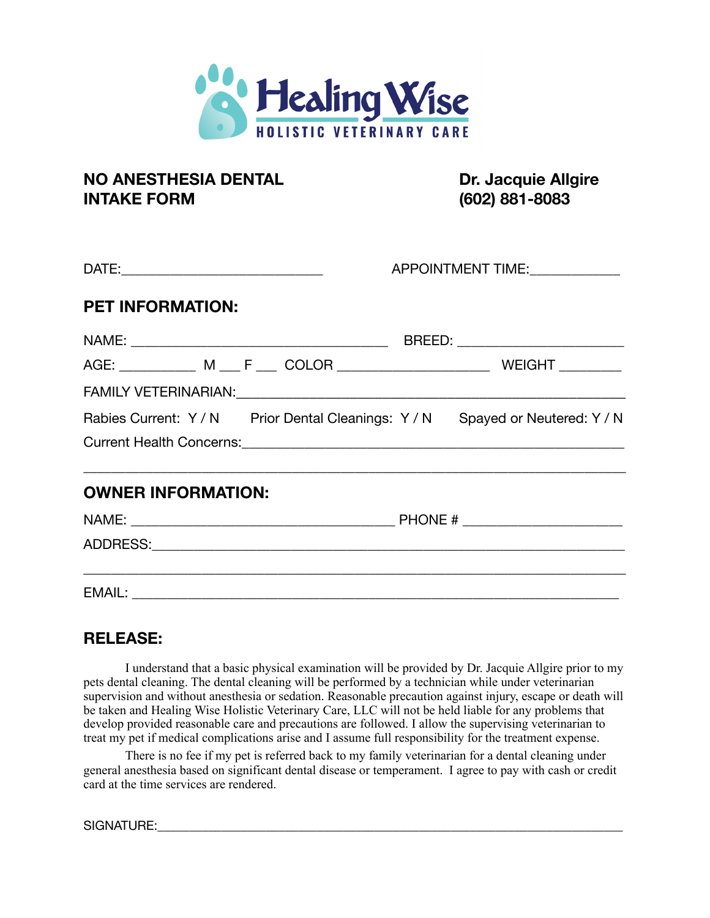

## **NO ANESTHESIA DENTAL DR. Jacquie Allgire INTAKE FORM (602) 881-8083**

|                           | APPOINTMENT TIME:                                                       |
|---------------------------|-------------------------------------------------------------------------|
| <b>PET INFORMATION:</b>   |                                                                         |
|                           |                                                                         |
|                           |                                                                         |
|                           |                                                                         |
|                           | Rabies Current: Y/N Prior Dental Cleanings: Y/N Spayed or Neutered: Y/N |
|                           |                                                                         |
| <b>OWNER INFORMATION:</b> |                                                                         |
|                           |                                                                         |
|                           |                                                                         |
|                           |                                                                         |

## **RELEASE:**

I understand that a basic physical examination will be provided by Dr. Jacquie Allgire prior to my pets dental cleaning. The dental cleaning will be performed by a technician while under veterinarian supervision and without anesthesia or sedation. Reasonable precaution against injury, escape or death will be taken and Healing Wise Holistic Veterinary Care, LLC will not be held liable for any problems that develop provided reasonable care and precautions are followed. I allow the supervising veterinarian to treat my pet if medical complications arise and I assume full responsibility for the treatment expense.

There is no fee if my pet is referred back to my family veterinarian for a dental cleaning under general anesthesia based on significant dental disease or temperament. I agree to pay with cash or credit card at the time services are rendered.

SIGNATURE: with the set of the set of the set of the set of the set of the set of the set of the set of the set of the set of the set of the set of the set of the set of the set of the set of the set of the set of the set